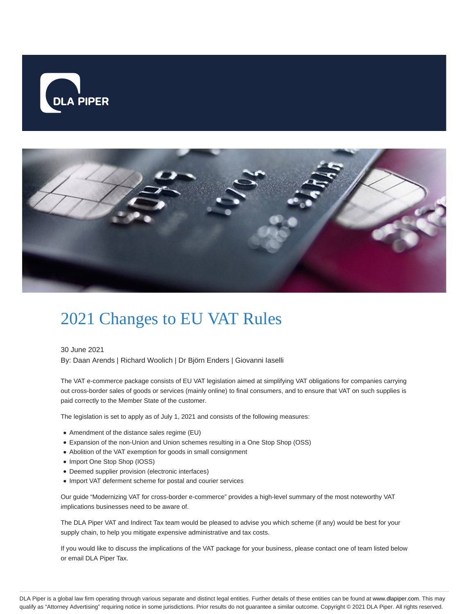



## 2021 Changes to EU VAT Rules

30 June 2021

By: Daan Arends | Richard Woolich | Dr Björn Enders | Giovanni Iaselli

The VAT e-commerce package consists of EU VAT legislation aimed at simplifying VAT obligations for companies carrying out cross-border sales of goods or services (mainly online) to final consumers, and to ensure that VAT on such supplies is paid correctly to the Member State of the customer.

The legislation is set to apply as of July 1, 2021 and consists of the following measures:

- Amendment of the distance sales regime (EU)
- Expansion of the non-Union and Union schemes resulting in a One Stop Shop (OSS)
- Abolition of the VAT exemption for goods in small consignment
- Import One Stop Shop (IOSS)
- Deemed supplier provision (electronic interfaces)
- Import VAT deferment scheme for postal and courier services

Our guide "Modernizing VAT for cross-border e-commerce" provides a high-level summary of the most noteworthy VAT implications businesses need to be aware of.

The DLA Piper VAT and Indirect Tax team would be pleased to advise you which scheme (if any) would be best for your supply chain, to help you mitigate expensive administrative and tax costs.

If you would like to discuss the implications of the VAT package for your business, please contact one of team listed below or email DLA Piper Tax.